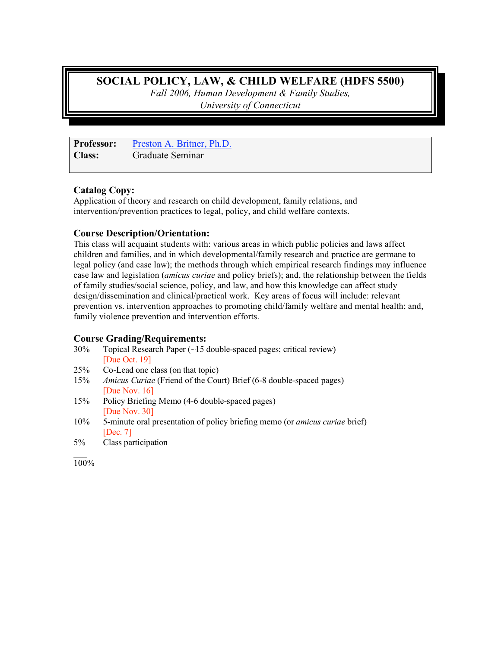# **SOCIAL POLICY, LAW, & CHILD WELFARE (HDFS 5500)**

*Fall 2006, Human Development & Family Studies, University of Connecticut*

**Professor:** Preston A. Britner, Ph.D. **Class:** Graduate Seminar

## **Catalog Copy:**

Application of theory and research on child development, family relations, and intervention/prevention practices to legal, policy, and child welfare contexts.

# **Course Description/Orientation:**

This class will acquaint students with: various areas in which public policies and laws affect children and families, and in which developmental/family research and practice are germane to legal policy (and case law); the methods through which empirical research findings may influence case law and legislation (*amicus curiae* and policy briefs); and, the relationship between the fields of family studies/social science, policy, and law, and how this knowledge can affect study design/dissemination and clinical/practical work. Key areas of focus will include: relevant prevention vs. intervention approaches to promoting child/family welfare and mental health; and, family violence prevention and intervention efforts.

## **Course Grading/Requirements:**

- 30% Topical Research Paper (~15 double-spaced pages; critical review) [Due Oct. 19]
- 25% Co-Lead one class (on that topic)
- 15% *Amicus Curiae* (Friend of the Court) Brief (6-8 double-spaced pages) [Due Nov. 16]
- 15% Policy Briefing Memo (4-6 double-spaced pages) [Due Nov. 30]
- 10% 5-minute oral presentation of policy briefing memo (or *amicus curiae* brief) [Dec. 7]
- 5% Class participation

100%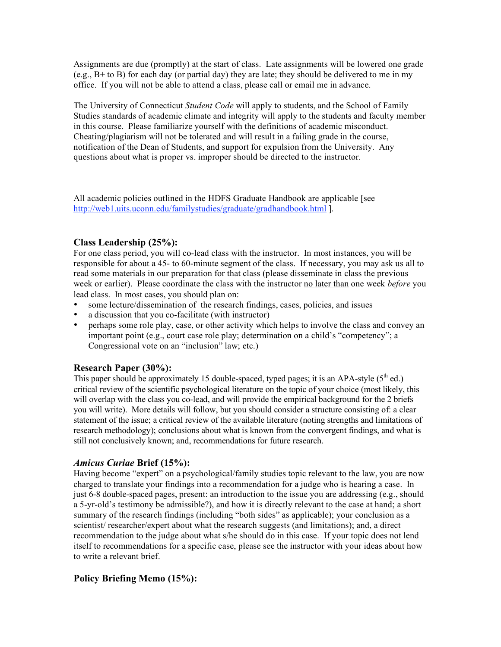Assignments are due (promptly) at the start of class. Late assignments will be lowered one grade  $(e.g., B+ to B)$  for each day (or partial day) they are late; they should be delivered to me in my office. If you will not be able to attend a class, please call or email me in advance.

The University of Connecticut *Student Code* will apply to students, and the School of Family Studies standards of academic climate and integrity will apply to the students and faculty member in this course. Please familiarize yourself with the definitions of academic misconduct. Cheating/plagiarism will not be tolerated and will result in a failing grade in the course, notification of the Dean of Students, and support for expulsion from the University. Any questions about what is proper vs. improper should be directed to the instructor.

All academic policies outlined in the HDFS Graduate Handbook are applicable [see http://web1.uits.uconn.edu/familystudies/graduate/gradhandbook.html ].

## **Class Leadership (25%):**

For one class period, you will co-lead class with the instructor. In most instances, you will be responsible for about a 45- to 60-minute segment of the class. If necessary, you may ask us all to read some materials in our preparation for that class (please disseminate in class the previous week or earlier). Please coordinate the class with the instructor no later than one week *before* you lead class. In most cases, you should plan on:

- some lecture/dissemination of the research findings, cases, policies, and issues
- a discussion that you co-facilitate (with instructor)
- perhaps some role play, case, or other activity which helps to involve the class and convey an important point (e.g., court case role play; determination on a child's "competency"; a Congressional vote on an "inclusion" law; etc.)

## **Research Paper (30%):**

This paper should be approximately 15 double-spaced, typed pages; it is an APA-style  $(5<sup>th</sup>$  ed.) critical review of the scientific psychological literature on the topic of your choice (most likely, this will overlap with the class you co-lead, and will provide the empirical background for the 2 briefs you will write). More details will follow, but you should consider a structure consisting of: a clear statement of the issue; a critical review of the available literature (noting strengths and limitations of research methodology); conclusions about what is known from the convergent findings, and what is still not conclusively known; and, recommendations for future research.

## *Amicus Curiae* **Brief (15%):**

Having become "expert" on a psychological/family studies topic relevant to the law, you are now charged to translate your findings into a recommendation for a judge who is hearing a case. In just 6-8 double-spaced pages, present: an introduction to the issue you are addressing (e.g., should a 5-yr-old's testimony be admissible?), and how it is directly relevant to the case at hand; a short summary of the research findings (including "both sides" as applicable); your conclusion as a scientist/ researcher/expert about what the research suggests (and limitations); and, a direct recommendation to the judge about what s/he should do in this case. If your topic does not lend itself to recommendations for a specific case, please see the instructor with your ideas about how to write a relevant brief.

## **Policy Briefing Memo (15%):**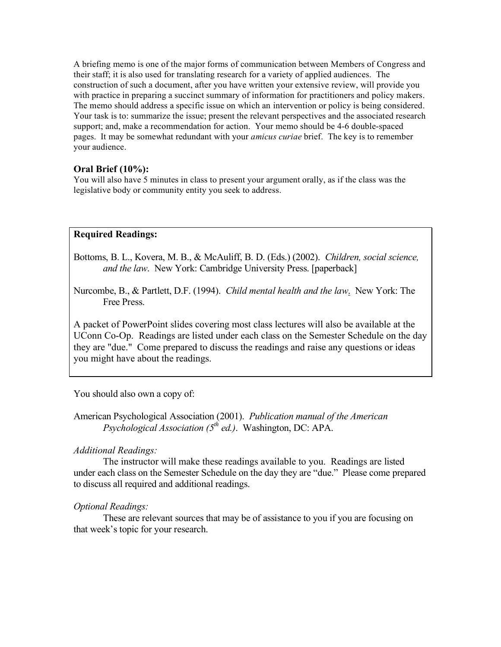A briefing memo is one of the major forms of communication between Members of Congress and their staff; it is also used for translating research for a variety of applied audiences. The construction of such a document, after you have written your extensive review, will provide you with practice in preparing a succinct summary of information for practitioners and policy makers. The memo should address a specific issue on which an intervention or policy is being considered. Your task is to: summarize the issue; present the relevant perspectives and the associated research support; and, make a recommendation for action. Your memo should be 4-6 double-spaced pages. It may be somewhat redundant with your *amicus curiae* brief. The key is to remember your audience.

## **Oral Brief (10%):**

You will also have 5 minutes in class to present your argument orally, as if the class was the legislative body or community entity you seek to address.

## **Required Readings:**

Bottoms, B. L., Kovera, M. B., & McAuliff, B. D. (Eds.) (2002). *Children, social science, and the law*. New York: Cambridge University Press. [paperback]

Nurcombe, B., & Partlett, D.F. (1994). *Child mental health and the law*. New York: The Free Press.

A packet of PowerPoint slides covering most class lectures will also be available at the UConn Co-Op. Readings are listed under each class on the Semester Schedule on the day they are "due." Come prepared to discuss the readings and raise any questions or ideas you might have about the readings.

#### You should also own a copy of:

American Psychological Association (2001). *Publication manual of the American Psychological Association (5th ed.)*. Washington, DC: APA.

#### *Additional Readings:*

The instructor will make these readings available to you. Readings are listed under each class on the Semester Schedule on the day they are "due." Please come prepared to discuss all required and additional readings.

#### *Optional Readings:*

These are relevant sources that may be of assistance to you if you are focusing on that week's topic for your research.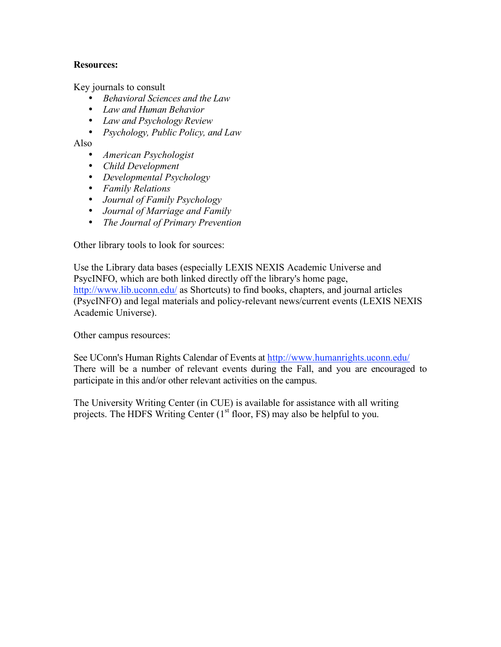## **Resources:**

Key journals to consult

- *Behavioral Sciences and the Law*
- *Law and Human Behavior*
- *Law and Psychology Review*
- *Psychology, Public Policy, and Law*

Also

- *American Psychologist*
- *Child Development*
- *Developmental Psychology*
- *Family Relations*
- *Journal of Family Psychology*
- *Journal of Marriage and Family*
- *The Journal of Primary Prevention*

Other library tools to look for sources:

Use the Library data bases (especially LEXIS NEXIS Academic Universe and PsycINFO, which are both linked directly off the library's home page, http://www.lib.uconn.edu/ as Shortcuts) to find books, chapters, and journal articles (PsycINFO) and legal materials and policy-relevant news/current events (LEXIS NEXIS Academic Universe).

Other campus resources:

See UConn's Human Rights Calendar of Events at http://www.humanrights.uconn.edu/ There will be a number of relevant events during the Fall, and you are encouraged to participate in this and/or other relevant activities on the campus.

The University Writing Center (in CUE) is available for assistance with all writing projects. The HDFS Writing Center  $(1<sup>st</sup>$  floor, FS) may also be helpful to you.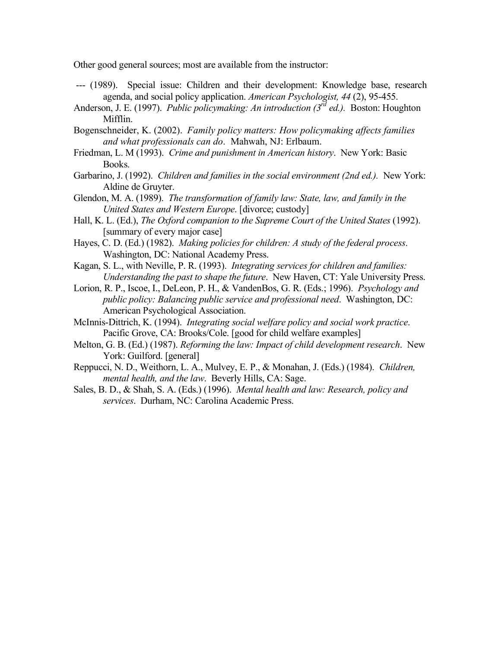Other good general sources; most are available from the instructor:

- --- (1989). Special issue: Children and their development: Knowledge base, research agenda, and social policy application. *American Psychologist, 44* (2), 95-455.
- Anderson, J. E. (1997). *Public policymaking: An introduction (3rd ed.).* Boston: Houghton Mifflin.
- Bogenschneider, K. (2002). *Family policy matters: How policymaking affects families and what professionals can do*. Mahwah, NJ: Erlbaum.
- Friedman, L. M (1993). *Crime and punishment in American history*. New York: Basic Books.
- Garbarino, J. (1992). *Children and families in the social environment (2nd ed.).* New York: Aldine de Gruyter.
- Glendon, M. A. (1989). *The transformation of family law: State, law, and family in the United States and Western Europe*. [divorce; custody]
- Hall, K. L. (Ed.), *The Oxford companion to the Supreme Court of the United States* (1992). [summary of every major case]
- Hayes, C. D. (Ed.) (1982). *Making policies for children: A study of the federal process*. Washington, DC: National Academy Press.
- Kagan, S. L., with Neville, P. R. (1993). *Integrating services for children and families: Understanding the past to shape the future*. New Haven, CT: Yale University Press.
- Lorion, R. P., Iscoe, I., DeLeon, P. H., & VandenBos, G. R. (Eds.; 1996). *Psychology and public policy: Balancing public service and professional need*. Washington, DC: American Psychological Association.
- McInnis-Dittrich, K. (1994). *Integrating social welfare policy and social work practice*. Pacific Grove, CA: Brooks/Cole. [good for child welfare examples]
- Melton, G. B. (Ed.) (1987). *Reforming the law: Impact of child development research*. New York: Guilford. [general]
- Reppucci, N. D., Weithorn, L. A., Mulvey, E. P., & Monahan, J. (Eds.) (1984). *Children, mental health, and the law*. Beverly Hills, CA: Sage.
- Sales, B. D., & Shah, S. A. (Eds.) (1996). *Mental health and law: Research, policy and services*. Durham, NC: Carolina Academic Press.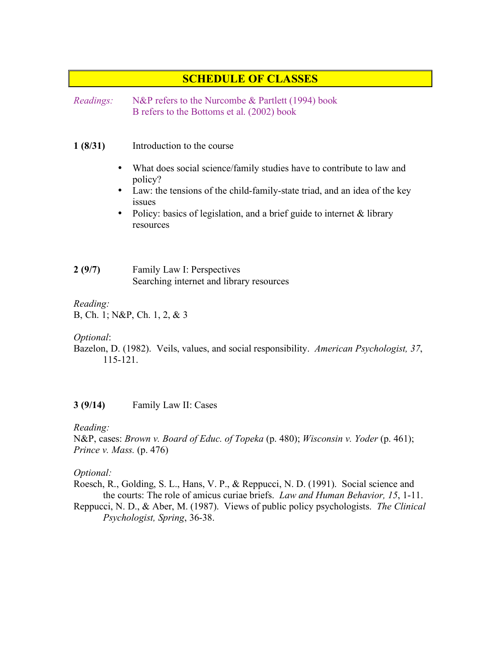# **SCHEDULE OF CLASSES**

*Readings:* N&P refers to the Nurcombe & Partlett (1994) book B refers to the Bottoms et al. (2002) book

#### **1 (8/31)** Introduction to the course

- What does social science/family studies have to contribute to law and policy?
- Law: the tensions of the child-family-state triad, and an idea of the key issues
- Policy: basics of legislation, and a brief guide to internet & library resources
- **2 (9/7)** Family Law I: Perspectives Searching internet and library resources

#### *Reading:*

B, Ch. 1; N&P, Ch. 1, 2, & 3

## *Optional*:

Bazelon, D. (1982). Veils, values, and social responsibility. *American Psychologist, 37*, 115-121.

## **3 (9/14)** Family Law II: Cases

## *Reading:*

N&P, cases: *Brown v. Board of Educ. of Topeka* (p. 480); *Wisconsin v. Yoder* (p. 461); *Prince v. Mass.* (p. 476)

## *Optional:*

Roesch, R., Golding, S. L., Hans, V. P., & Reppucci, N. D. (1991). Social science and the courts: The role of amicus curiae briefs. *Law and Human Behavior, 15*, 1-11.

Reppucci, N. D., & Aber, M. (1987). Views of public policy psychologists. *The Clinical Psychologist, Spring*, 36-38.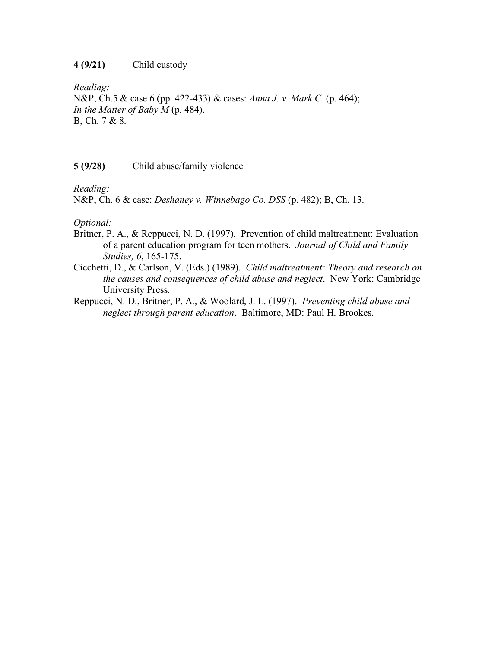## **4 (9/21)** Child custody

*Reading:* N&P, Ch.5 & case 6 (pp. 422-433) & cases: *Anna J. v. Mark C.* (p. 464); *In the Matter of Baby M* (p. 484). B, Ch. 7 & 8.

#### **5 (9/28)** Child abuse/family violence

*Reading:*

N&P, Ch. 6 & case: *Deshaney v. Winnebago Co. DSS* (p. 482); B, Ch. 13.

## *Optional:*

- Britner, P. A., & Reppucci, N. D. (1997). Prevention of child maltreatment: Evaluation of a parent education program for teen mothers. *Journal of Child and Family Studies, 6*, 165-175.
- Cicchetti, D., & Carlson, V. (Eds.) (1989). *Child maltreatment: Theory and research on the causes and consequences of child abuse and neglect*. New York: Cambridge University Press.
- Reppucci, N. D., Britner, P. A., & Woolard, J. L. (1997). *Preventing child abuse and neglect through parent education*. Baltimore, MD: Paul H. Brookes.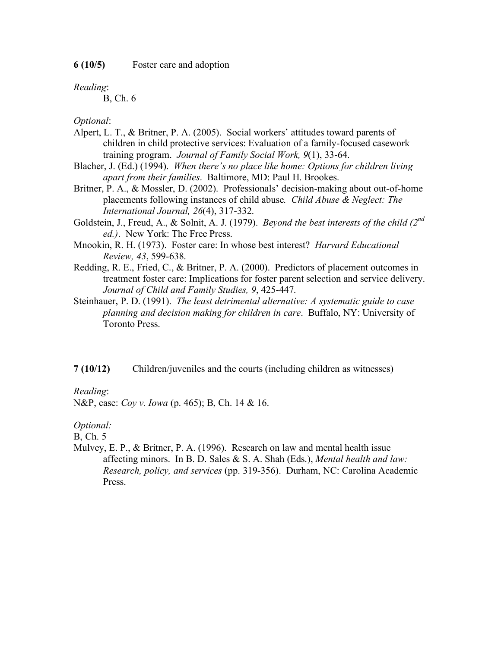**6 (10/5)** Foster care and adoption

*Reading*:

B, Ch. 6

*Optional*:

- Alpert, L. T., & Britner, P. A. (2005). Social workers' attitudes toward parents of children in child protective services: Evaluation of a family-focused casework training program. *Journal of Family Social Work, 9*(1), 33-64.
- Blacher, J. (Ed.) (1994). *When there's no place like home: Options for children living apart from their families*. Baltimore, MD: Paul H. Brookes.
- Britner, P. A., & Mossler, D. (2002). Professionals' decision-making about out-of-home placements following instances of child abuse*. Child Abuse & Neglect: The International Journal, 26*(4), 317-332.
- Goldstein, J., Freud, A., & Solnit, A. J. (1979). *Beyond the best interests of the child (2nd ed.)*. New York: The Free Press.
- Mnookin, R. H. (1973). Foster care: In whose best interest? *Harvard Educational Review, 43*, 599-638.
- Redding, R. E., Fried, C., & Britner, P. A. (2000). Predictors of placement outcomes in treatment foster care: Implications for foster parent selection and service delivery. *Journal of Child and Family Studies, 9*, 425-447.
- Steinhauer, P. D. (1991). *The least detrimental alternative: A systematic guide to case planning and decision making for children in care*. Buffalo, NY: University of Toronto Press.
- **7 (10/12)** Children/juveniles and the courts (including children as witnesses)

#### *Reading*:

N&P, case: *Coy v. Iowa* (p. 465); B, Ch. 14 & 16.

*Optional:*

B, Ch. 5

Mulvey, E. P., & Britner, P. A. (1996). Research on law and mental health issue affecting minors. In B. D. Sales & S. A. Shah (Eds.), *Mental health and law: Research, policy, and services* (pp. 319-356). Durham, NC: Carolina Academic Press.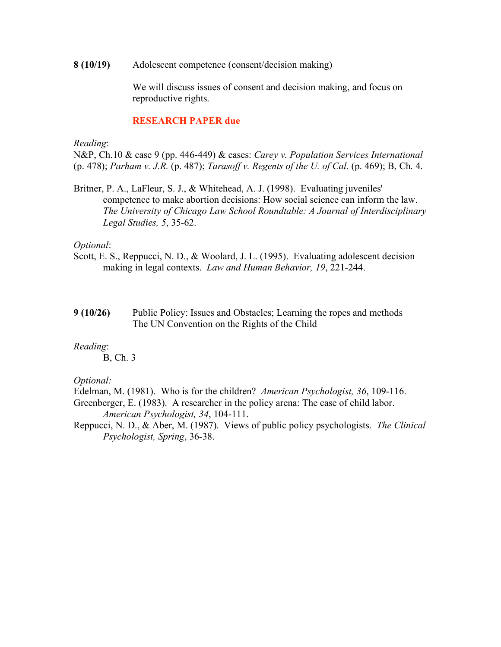**8 (10/19)** Adolescent competence (consent/decision making)

We will discuss issues of consent and decision making, and focus on reproductive rights.

#### **RESEARCH PAPER due**

*Reading*:

N&P, Ch.10 & case 9 (pp. 446-449) & cases: *Carey v. Population Services International* (p. 478); *Parham v. J.R.* (p. 487); *Tarasoff v. Regents of the U. of Cal.* (p. 469); B, Ch. 4.

Britner, P. A., LaFleur, S. J., & Whitehead, A. J. (1998). Evaluating juveniles' competence to make abortion decisions: How social science can inform the law. *The University of Chicago Law School Roundtable: A Journal of Interdisciplinary Legal Studies, 5*, 35-62.

#### *Optional*:

- Scott, E. S., Reppucci, N. D., & Woolard, J. L. (1995). Evaluating adolescent decision making in legal contexts. *Law and Human Behavior, 19*, 221-244.
- **9 (10/26)** Public Policy: Issues and Obstacles; Learning the ropes and methods The UN Convention on the Rights of the Child

#### *Reading*:

B, Ch. 3

#### *Optional:*

Edelman, M. (1981). Who is for the children? *American Psychologist, 36*, 109-116.

- Greenberger, E. (1983). A researcher in the policy arena: The case of child labor. *American Psychologist, 34*, 104-111.
- Reppucci, N. D., & Aber, M. (1987). Views of public policy psychologists. *The Clinical Psychologist, Spring*, 36-38.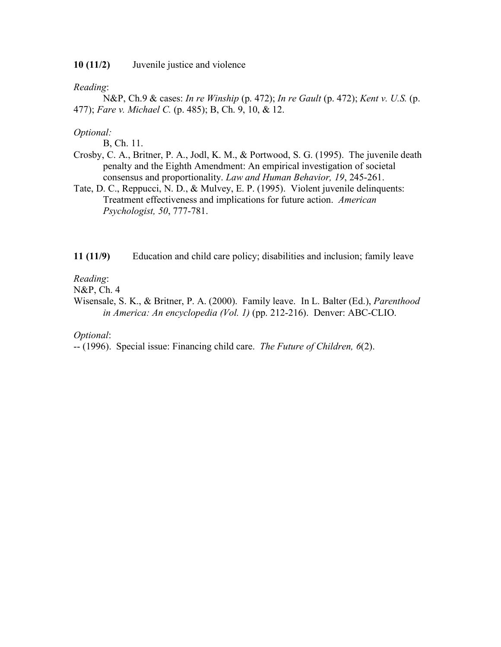**10 (11/2)** Juvenile justice and violence

*Reading*:

N&P, Ch.9 & cases: *In re Winship* (p. 472); *In re Gault* (p. 472); *Kent v. U.S.* (p. 477); *Fare v. Michael C.* (p. 485); B, Ch. 9, 10, & 12.

## *Optional:*

B, Ch. 11.

- Crosby, C. A., Britner, P. A., Jodl, K. M., & Portwood, S. G. (1995). The juvenile death penalty and the Eighth Amendment: An empirical investigation of societal consensus and proportionality. *Law and Human Behavior, 19*, 245-261.
- Tate, D. C., Reppucci, N. D., & Mulvey, E. P. (1995). Violent juvenile delinquents: Treatment effectiveness and implications for future action. *American Psychologist, 50*, 777-781.

**11 (11/9)** Education and child care policy; disabilities and inclusion; family leave

## *Reading*:

N&P, Ch. 4

Wisensale, S. K., & Britner, P. A. (2000). Family leave. In L. Balter (Ed.), *Parenthood in America: An encyclopedia (Vol. 1)* (pp. 212-216). Denver: ABC-CLIO.

*Optional*:

-- (1996). Special issue: Financing child care. *The Future of Children, 6*(2).